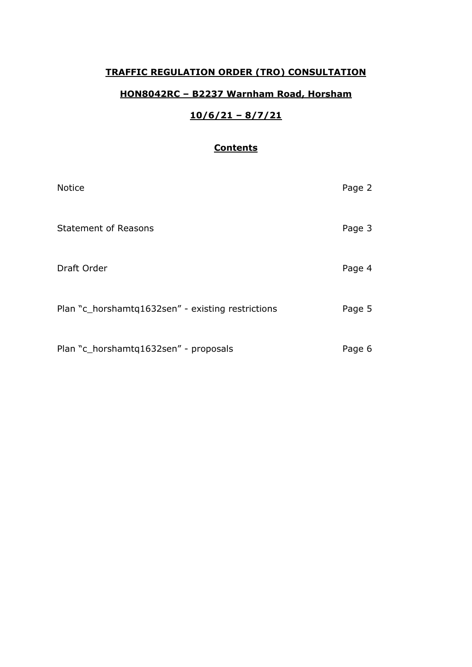## **TRAFFIC REGULATION ORDER (TRO) CONSULTATION**

## **HON8042RC – B2237 Warnham Road, Horsham**

# **10/6/21 – 8/7/21**

## **Contents**

| <b>Notice</b>                                     | Page 2 |
|---------------------------------------------------|--------|
| <b>Statement of Reasons</b>                       | Page 3 |
| Draft Order                                       | Page 4 |
| Plan "c_horshamtq1632sen" - existing restrictions | Page 5 |
| Plan "c_horshamtq1632sen" - proposals             | Page 6 |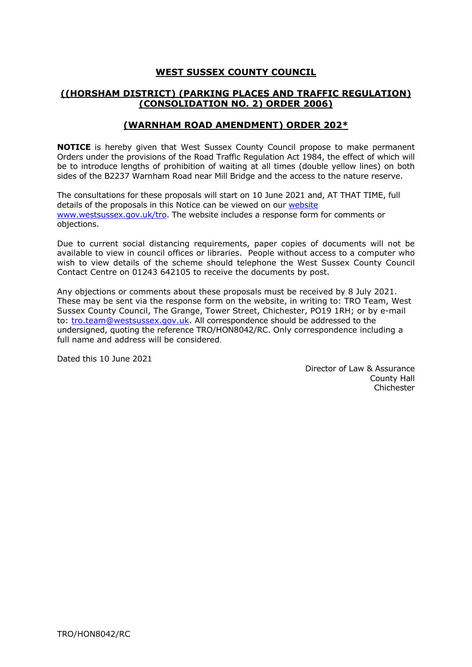## **WEST SUSSEX COUNTY COUNCIL**

## **((HORSHAM DISTRICT) (PARKING PLACES AND TRAFFIC REGULATION) (CONSOLIDATION NO. 2) ORDER 2006)**

#### **(WARNHAM ROAD AMENDMENT) ORDER 202\***

**NOTICE** is hereby given that West Sussex County Council propose to make permanent Orders under the provisions of the Road Traffic Regulation Act 1984, the effect of which will be to introduce lengths of prohibition of waiting at all times (double yellow lines) on both sides of the B2237 Warnham Road near Mill Bridge and the access to the nature reserve.

The consultations for these proposals will start on 10 June 2021 and, AT THAT TIME, full details of the proposals in this Notice can be viewed on our [website](https://www.westsussex.gov.uk/roads-and-travel/traffic-regulation-orders/) [www.westsussex.gov.uk/tro.](http://www.westsussex.gov.uk/tro) The website includes a response form for comments or objections.

Due to current social distancing requirements, paper copies of documents will not be available to view in council offices or libraries. People without access to a computer who wish to view details of the scheme should telephone the West Sussex County Council Contact Centre on 01243 642105 to receive the documents by post.

Any objections or comments about these proposals must be received by 8 July 2021. These may be sent via the response form on the website, in writing to: TRO Team, West Sussex County Council, The Grange, Tower Street, Chichester, PO19 1RH; or by e-mail to: [tro.team@westsussex.gov.uk.](mailto:tro.team@westsussex.gov.uk) All correspondence should be addressed to the undersigned, quoting the reference TRO/HON8042/RC. Only correspondence including a full name and address will be considered.

Dated this 10 June 2021

 Director of Law & Assurance County Hall Chichester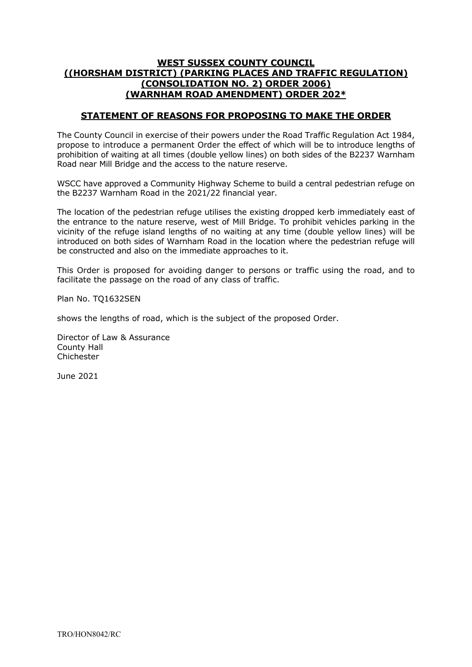#### **WEST SUSSEX COUNTY COUNCIL ((HORSHAM DISTRICT) (PARKING PLACES AND TRAFFIC REGULATION) (CONSOLIDATION NO. 2) ORDER 2006) (WARNHAM ROAD AMENDMENT) ORDER 202\***

#### **STATEMENT OF REASONS FOR PROPOSING TO MAKE THE ORDER**

The County Council in exercise of their powers under the Road Traffic Regulation Act 1984, propose to introduce a permanent Order the effect of which will be to introduce lengths of prohibition of waiting at all times (double yellow lines) on both sides of the B2237 Warnham Road near Mill Bridge and the access to the nature reserve.

WSCC have approved a Community Highway Scheme to build a central pedestrian refuge on the B2237 Warnham Road in the 2021/22 financial year.

The location of the pedestrian refuge utilises the existing dropped kerb immediately east of the entrance to the nature reserve, west of Mill Bridge. To prohibit vehicles parking in the vicinity of the refuge island lengths of no waiting at any time (double yellow lines) will be introduced on both sides of Warnham Road in the location where the pedestrian refuge will be constructed and also on the immediate approaches to it.

This Order is proposed for avoiding danger to persons or traffic using the road, and to facilitate the passage on the road of any class of traffic.

Plan No. TQ1632SEN

shows the lengths of road, which is the subject of the proposed Order.

Director of Law & Assurance County Hall Chichester

June 2021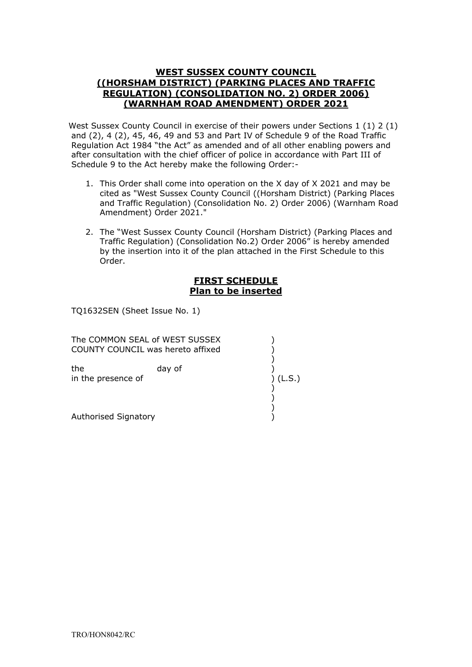#### **WEST SUSSEX COUNTY COUNCIL ((HORSHAM DISTRICT) (PARKING PLACES AND TRAFFIC REGULATION) (CONSOLIDATION NO. 2) ORDER 2006) (WARNHAM ROAD AMENDMENT) ORDER 2021**

West Sussex County Council in exercise of their powers under Sections 1 (1) 2 (1) and (2), 4 (2), 45, 46, 49 and 53 and Part IV of Schedule 9 of the Road Traffic Regulation Act 1984 "the Act" as amended and of all other enabling powers and after consultation with the chief officer of police in accordance with Part III of Schedule 9 to the Act hereby make the following Order:-

- 1. This Order shall come into operation on the X day of X 2021 and may be cited as "West Sussex County Council ((Horsham District) (Parking Places and Traffic Regulation) (Consolidation No. 2) Order 2006) (Warnham Road Amendment) Order 2021."
- 2. The "West Sussex County Council (Horsham District) (Parking Places and Traffic Regulation) (Consolidation No.2) Order 2006" is hereby amended by the insertion into it of the plan attached in the First Schedule to this Order.

#### **FIRST SCHEDULE Plan to be inserted**

TQ1632SEN (Sheet Issue No. 1)

COUNTY COUNCIL was hereto affixed ) the day of ) The COMMON SEAL of WEST SUSSEX (1998)  $)$ in the presence of ) (L.S.) ) ) Authorised Signatory )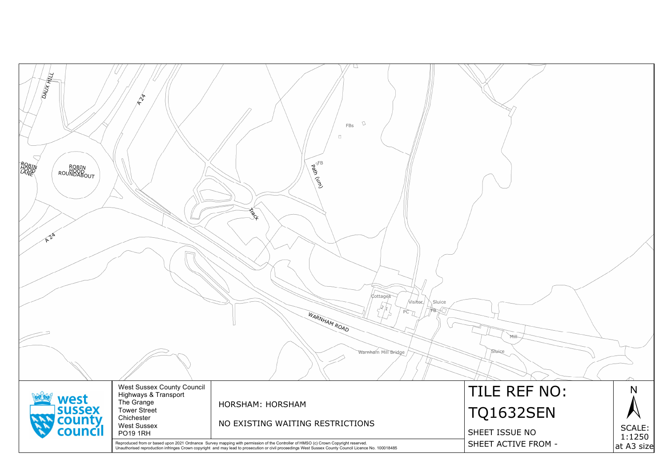